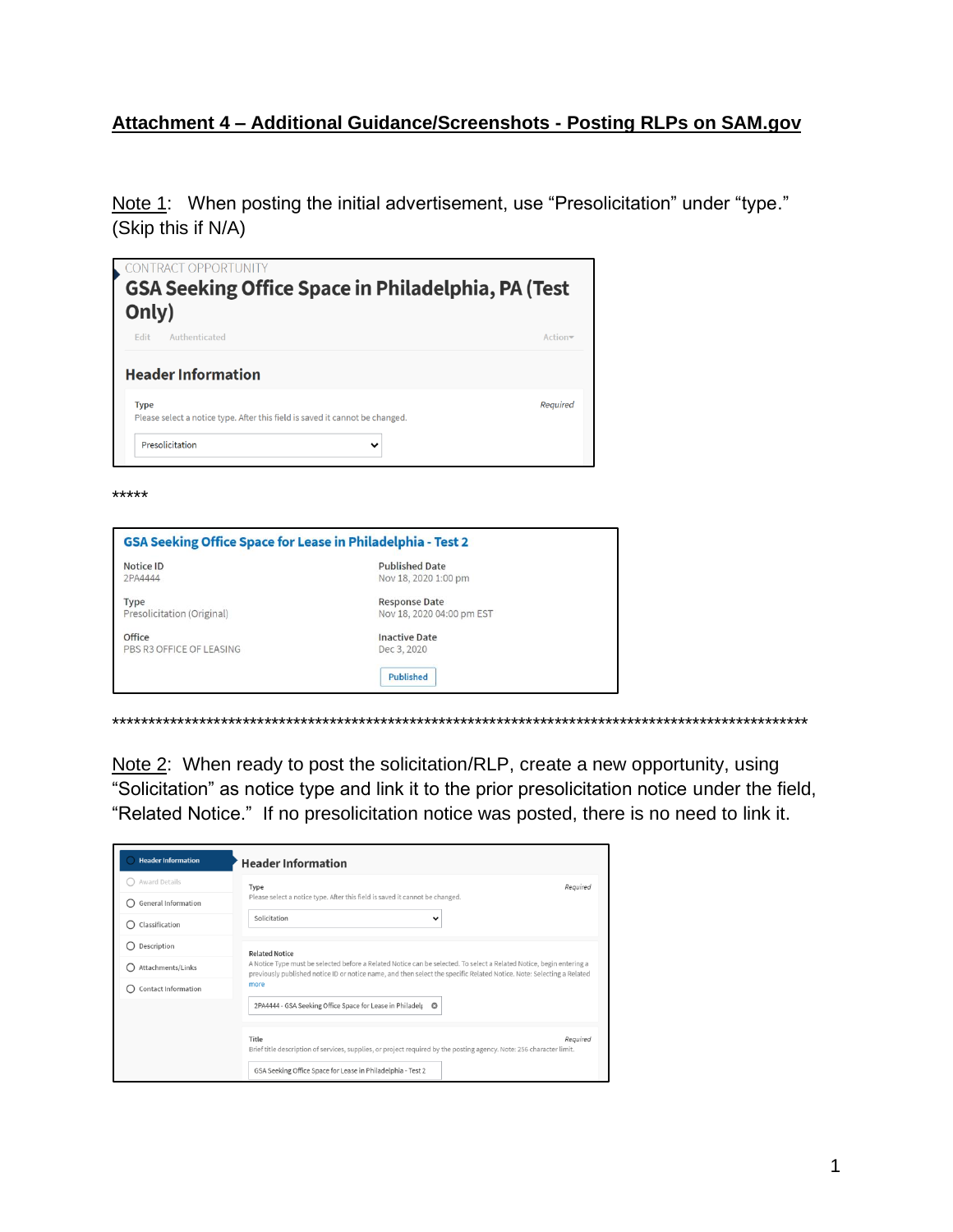## Attachment 4 - Additional Guidance/Screenshots - Posting RLPs on SAM.gov

Note 1: When posting the initial advertisement, use "Presolicitation" under "type." (Skip this if N/A)

| Authenticated<br><b>Fdit</b> |                     |
|------------------------------|---------------------|
|                              | Action <sub>v</sub> |
| <b>Header Information</b>    |                     |
|                              |                     |

\*\*\*\*\*

| GSA Seeking Office Space for Lease in Philadelphia - Test 2 |                  |
|-------------------------------------------------------------|------------------|
| <b>Published Date</b><br>Nov 18, 2020 1:00 pm               |                  |
| <b>Response Date</b><br>Nov 18, 2020 04:00 pm EST           |                  |
| <b>Inactive Date</b><br>Dec 3, 2020                         |                  |
|                                                             | <b>Published</b> |

Note 2: When ready to post the solicitation/RLP, create a new opportunity, using "Solicitation" as notice type and link it to the prior presolicitation notice under the field, "Related Notice." If no presolicitation notice was posted, there is no need to link it.

| <b>Header Information</b>  | <b>Header Information</b>                                                                                                                                                                                                                     |  |  |  |
|----------------------------|-----------------------------------------------------------------------------------------------------------------------------------------------------------------------------------------------------------------------------------------------|--|--|--|
| Award Details              | Type<br>Required                                                                                                                                                                                                                              |  |  |  |
| <b>General Information</b> | Please select a notice type. After this field is saved it cannot be changed.                                                                                                                                                                  |  |  |  |
| Classification<br>Ω        | Solicitation<br>v                                                                                                                                                                                                                             |  |  |  |
| Description                | <b>Related Notice</b>                                                                                                                                                                                                                         |  |  |  |
| Attachments/Links          | A Notice Type must be selected before a Related Notice can be selected. To select a Related Notice, begin entering a<br>previously published notice ID or notice name, and then select the specific Related Notice. Note: Selecting a Related |  |  |  |
| <b>Contact Information</b> | more                                                                                                                                                                                                                                          |  |  |  |
|                            | 2PA4444 - GSA Seeking Office Space for Lease in Philadelp<br>o                                                                                                                                                                                |  |  |  |
|                            | Title<br>Reauired<br>Brief title description of services, supplies, or project required by the posting agency. Note: 256 character limit.<br>GSA Seeking Office Space for Lease in Philadelphia - Test 2                                      |  |  |  |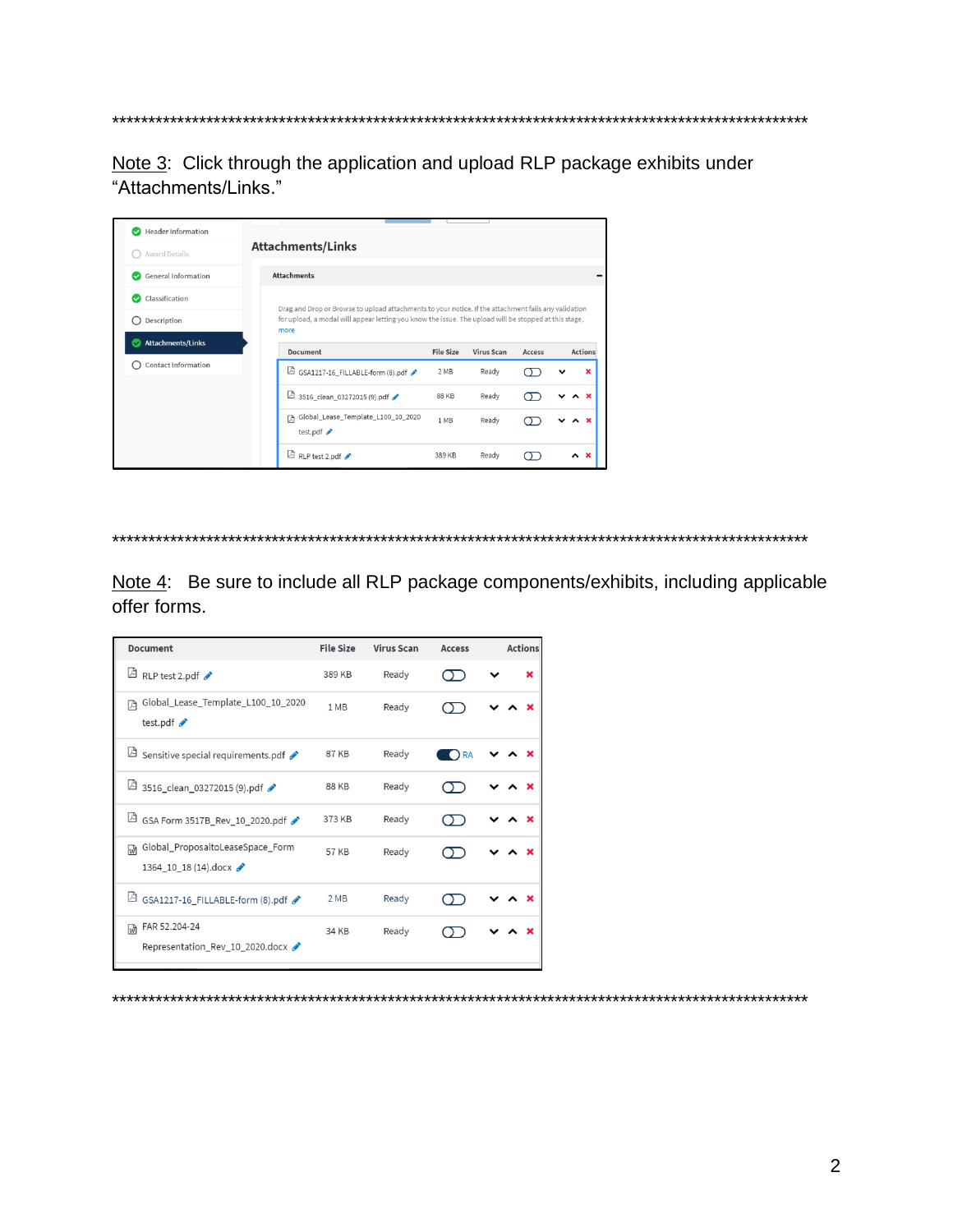\*\*\*\*\*\*\*\*\*\*\*\*\*\*\*\*\*\* \*\*\*\*\*\*\*\*\*\*

Note 3: Click through the application and upload RLP package exhibits under "Attachments/Links."

| Header Information<br>V            |                                                                                                                                                                                                                       |                  |                   |               |                 |
|------------------------------------|-----------------------------------------------------------------------------------------------------------------------------------------------------------------------------------------------------------------------|------------------|-------------------|---------------|-----------------|
| Award Details                      | <b>Attachments/Links</b>                                                                                                                                                                                              |                  |                   |               |                 |
| General Information<br>$\sim$      | <b>Attachments</b>                                                                                                                                                                                                    |                  |                   |               |                 |
| Classification<br>∾<br>Description | Drag and Drop or Browse to upload attachments to your notice. If the attachment fails any validation<br>for upload, a modal will appear letting you know the issue. The upload will be stopped at this stage,<br>more |                  |                   |               |                 |
| <b>Attachments/Links</b><br>✓      | <b>Document</b>                                                                                                                                                                                                       | <b>File Size</b> | <b>Virus Scan</b> | <b>Access</b> | <b>Actions</b>  |
| <b>Contact Information</b>         | GSA1217-16_FILLABLE-form (8).pdf                                                                                                                                                                                      | 2 MB             | Ready             |               |                 |
|                                    | A<br>3516_clean_03272015 (9).pdf                                                                                                                                                                                      | 88 KB            | Ready             |               |                 |
|                                    | Global_Lease_Template_L100_10_2020<br>囥<br>test.pdf $\rightarrow$                                                                                                                                                     | 1 MB             | Ready             |               |                 |
|                                    | RLP test 2.pdf                                                                                                                                                                                                        | 389 KB           | Ready             |               | $\sim$ $\times$ |

\*\*\*\*\*\*\*\*\*\*\*\*\*\*\*\*

Note 4: Be sure to include all RLP package components/exhibits, including applicable offer forms.

| Document                                                           | <b>File Size</b> | <b>Virus Scan</b> | <b>Access</b> |  | <b>Actions</b> |
|--------------------------------------------------------------------|------------------|-------------------|---------------|--|----------------|
| $\Box$ RLP test 2.pdf                                              | 389 KB           | Ready             |               |  |                |
| Global_Lease_Template_L100_10_2020<br>叺<br>test.pdf                | 1 MB             | Ready             |               |  |                |
| Sensitive special requirements.pdf                                 | 87 KB            | Ready             | ) RA          |  |                |
| □ 3516_clean_03272015 (9).pdf ♪                                    | 88 KB            | Ready             |               |  |                |
| A<br>GSA Form 3517B_Rev_10_2020.pdf                                | 373 KB           | Ready             |               |  |                |
| Global_ProposaltoLeaseSpace_Form<br>प्णि<br>1364_10_18 (14).docx < | 57 KB            | Ready             |               |  |                |
| 凶<br>GSA1217-16_FILLABLE-form (8).pdf                              | 2 MB             | Ready             |               |  |                |
| FAR 52.204-24<br>wी<br>Representation Rev 10 2020.docx             | 34 KB            | Ready             |               |  |                |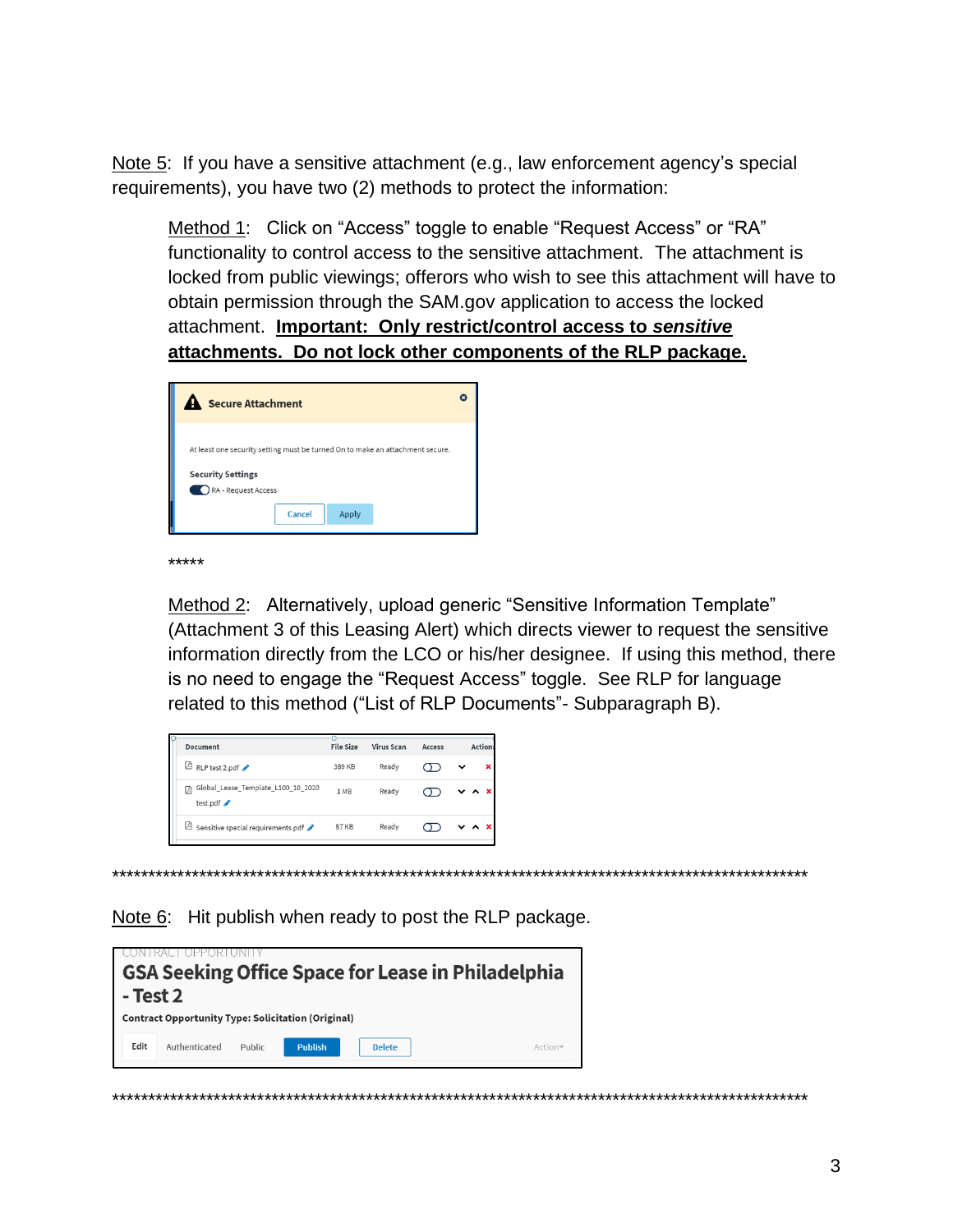Note 5: If you have a sensitive attachment (e.g., law enforcement agency's special requirements), you have two (2) methods to protect the information:

Method 1: Click on "Access" toggle to enable "Request Access" or "RA" functionality to control access to the sensitive attachment. The attachment is locked from public viewings; offerors who wish to see this attachment will have to obtain permission through the SAM gov application to access the locked attachment. **Important: Only restrict/control access to sensitive** attachments. Do not lock other components of the RLP package.



\*\*\*\*\*

Method 2: Alternatively, upload generic "Sensitive Information Template" (Attachment 3 of this Leasing Alert) which directs viewer to request the sensitive information directly from the LCO or his/her designee. If using this method, there is no need to engage the "Request Access" toggle. See RLP for language related to this method ("List of RLP Documents"- Subparagraph B).

| Document                                            | <b>File Size</b> | <b>Virus Scan</b> | <b>Access</b> | <b>Actions</b>           |
|-----------------------------------------------------|------------------|-------------------|---------------|--------------------------|
| ₫<br>RLP test 2.pdf                                 | 389 KB           | Ready             |               | ×                        |
| Global_Lease_Template_L100_10_2020<br>顶<br>test.pdf | 1 MB             | Ready             |               | $\vee$ $\wedge$ $\times$ |
| $\mathbb B$ Sensitive special requirements.pdf      | <b>87 KB</b>     | Ready             |               | $\vee$ $\wedge$ $\times$ |

Note 6: Hit publish when ready to post the RLP package.

| - Test 2<br><b>Contract Opportunity Type: Solicitation (Original)</b> | <b>GSA Seeking Office Space for Lease in Philadelphia</b> |         |
|-----------------------------------------------------------------------|-----------------------------------------------------------|---------|
| Edit<br>Authenticated                                                 | <b>Publish</b><br>Public<br><b>Delete</b>                 | Actiony |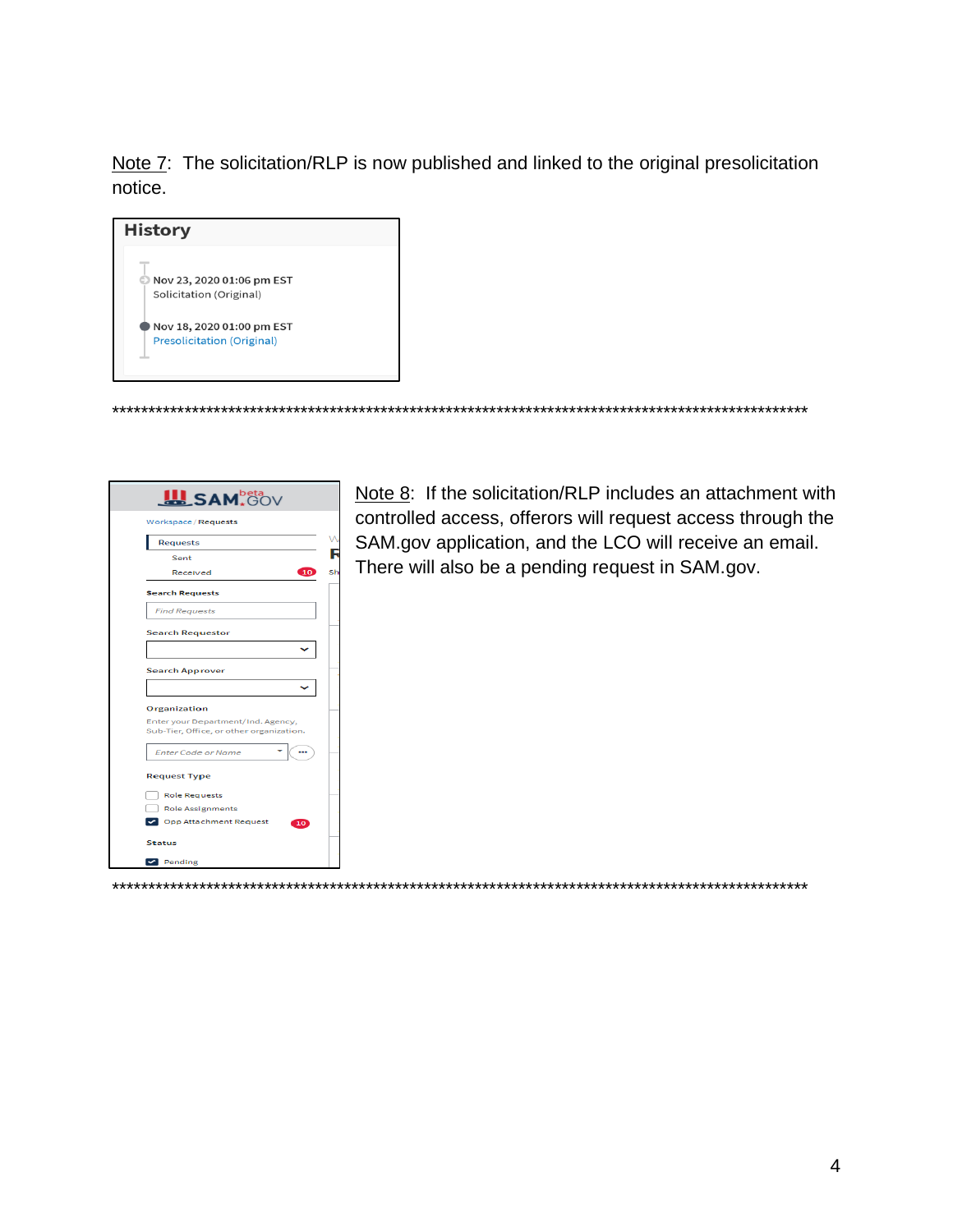Note 7: The solicitation/RLP is now published and linked to the original presolicitation notice.





Note 8: If the solicitation/RLP includes an attachment with controlled access, offerors will request access through the SAM.gov application, and the LCO will receive an email. There will also be a pending request in SAM.gov.